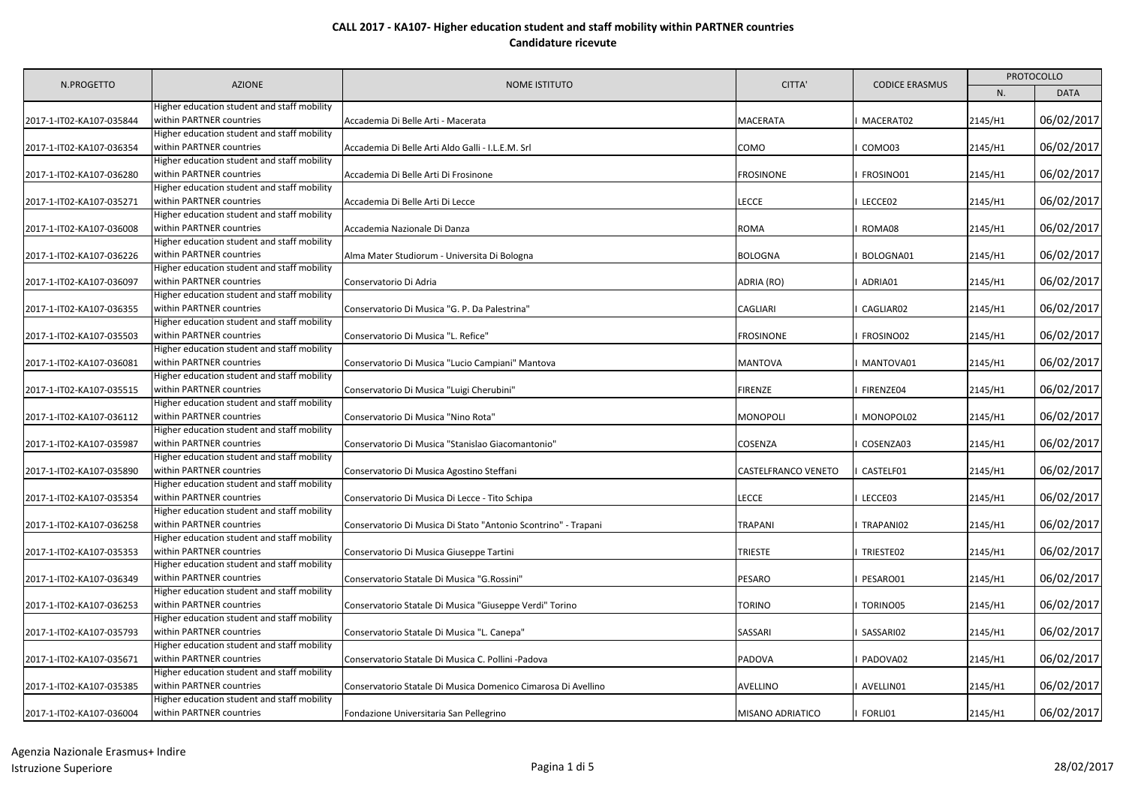|                          | <b>AZIONE</b>                                                                                                          | <b>NOME ISTITUTO</b>                                           | CITTA'                     | <b>CODICE ERASMUS</b> | PROTOCOLLO |             |
|--------------------------|------------------------------------------------------------------------------------------------------------------------|----------------------------------------------------------------|----------------------------|-----------------------|------------|-------------|
| N.PROGETTO               |                                                                                                                        |                                                                |                            |                       | N.         | <b>DATA</b> |
| 2017-1-IT02-KA107-035844 | Higher education student and staff mobility<br>within PARTNER countries                                                | Accademia Di Belle Arti - Macerata                             | <b>MACERATA</b>            | MACERAT02             | 2145/H1    | 06/02/2017  |
| 2017-1-IT02-KA107-036354 | Higher education student and staff mobility<br>within PARTNER countries                                                | Accademia Di Belle Arti Aldo Galli - I.L.E.M. Srl              | <b>COMO</b>                | COMO03                | 2145/H1    | 06/02/2017  |
| 2017-1-IT02-KA107-036280 | Higher education student and staff mobility<br>within PARTNER countries                                                | Accademia Di Belle Arti Di Frosinone                           | <b>FROSINONE</b>           | FROSINO01             | 2145/H1    | 06/02/2017  |
| 2017-1-IT02-KA107-035271 | Higher education student and staff mobility<br>within PARTNER countries                                                | Accademia Di Belle Arti Di Lecce                               | <b>LECCE</b>               | LECCE02               | 2145/H1    | 06/02/2017  |
| 2017-1-IT02-KA107-036008 | Higher education student and staff mobility<br>within PARTNER countries<br>Higher education student and staff mobility | Accademia Nazionale Di Danza                                   | <b>ROMA</b>                | ROMA08                | 2145/H1    | 06/02/2017  |
| 2017-1-IT02-KA107-036226 | within PARTNER countries<br>Higher education student and staff mobility                                                | Alma Mater Studiorum - Universita Di Bologna                   | <b>BOLOGNA</b>             | BOLOGNA01             | 2145/H1    | 06/02/2017  |
| 2017-1-IT02-KA107-036097 | within PARTNER countries<br>Higher education student and staff mobility                                                | Conservatorio Di Adria                                         | ADRIA (RO)                 | ADRIA01               | 2145/H1    | 06/02/2017  |
| 2017-1-IT02-KA107-036355 | within PARTNER countries<br>Higher education student and staff mobility                                                | Conservatorio Di Musica "G. P. Da Palestrina"                  | <b>CAGLIARI</b>            | CAGLIAR02             | 2145/H1    | 06/02/2017  |
| 2017-1-IT02-KA107-035503 | within PARTNER countries<br>Higher education student and staff mobility                                                | Conservatorio Di Musica "L. Refice"                            | <b>FROSINONE</b>           | FROSINO02             | 2145/H1    | 06/02/2017  |
| 2017-1-IT02-KA107-036081 | within PARTNER countries<br>Higher education student and staff mobility                                                | Conservatorio Di Musica "Lucio Campiani" Mantova               | <b>MANTOVA</b>             | MANTOVA01             | 2145/H1    | 06/02/2017  |
| 2017-1-IT02-KA107-035515 | within PARTNER countries<br>Higher education student and staff mobility                                                | Conservatorio Di Musica "Luigi Cherubini"                      | <b>FIRENZE</b>             | FIRENZE04             | 2145/H1    | 06/02/2017  |
| 2017-1-IT02-KA107-036112 | within PARTNER countries<br>Higher education student and staff mobility                                                | Conservatorio Di Musica "Nino Rota"                            | <b>MONOPOLI</b>            | MONOPOL02             | 2145/H1    | 06/02/2017  |
| 2017-1-IT02-KA107-035987 | within PARTNER countries<br>Higher education student and staff mobility                                                | Conservatorio Di Musica "Stanislao Giacomantonio"              | <b>COSENZA</b>             | COSENZA03             | 2145/H1    | 06/02/2017  |
| 2017-1-IT02-KA107-035890 | within PARTNER countries<br>Higher education student and staff mobility                                                | Conservatorio Di Musica Agostino Steffani                      | <b>CASTELFRANCO VENETO</b> | CASTELF01             | 2145/H1    | 06/02/2017  |
| 2017-1-IT02-KA107-035354 | within PARTNER countries<br>Higher education student and staff mobility                                                | Conservatorio Di Musica Di Lecce - Tito Schipa                 | <b>LECCE</b>               | LECCE03               | 2145/H1    | 06/02/2017  |
| 2017-1-IT02-KA107-036258 | within PARTNER countries<br>Higher education student and staff mobility                                                | Conservatorio Di Musica Di Stato "Antonio Scontrino" - Trapani | <b>TRAPANI</b>             | TRAPANI02             | 2145/H1    | 06/02/2017  |
| 2017-1-IT02-KA107-035353 | within PARTNER countries<br>Higher education student and staff mobility                                                | Conservatorio Di Musica Giuseppe Tartini                       | TRIESTE                    | TRIESTE02             | 2145/H1    | 06/02/2017  |
| 2017-1-IT02-KA107-036349 | within PARTNER countries<br>Higher education student and staff mobility                                                | Conservatorio Statale Di Musica "G.Rossini"                    | <b>PESARO</b>              | PESARO01              | 2145/H1    | 06/02/2017  |
| 2017-1-IT02-KA107-036253 | within PARTNER countries<br>Higher education student and staff mobility                                                | Conservatorio Statale Di Musica "Giuseppe Verdi" Torino        | TORINO                     | TORINO05              | 2145/H1    | 06/02/2017  |
| 2017-1-IT02-KA107-035793 | within PARTNER countries<br>Higher education student and staff mobility                                                | Conservatorio Statale Di Musica "L. Canepa"                    | SASSARI                    | SASSARI02             | 2145/H1    | 06/02/2017  |
| 2017-1-IT02-KA107-035671 | within PARTNER countries<br>Higher education student and staff mobility                                                | Conservatorio Statale Di Musica C. Pollini -Padova             | <b>PADOVA</b>              | PADOVA02              | 2145/H1    | 06/02/2017  |
| 2017-1-IT02-KA107-035385 | within PARTNER countries<br>Higher education student and staff mobility                                                | Conservatorio Statale Di Musica Domenico Cimarosa Di Avellino  | AVELLINO                   | AVELLIN01             | 2145/H1    | 06/02/2017  |
| 2017-1-IT02-KA107-036004 | within PARTNER countries                                                                                               | Fondazione Universitaria San Pellegrino                        | <b>MISANO ADRIATICO</b>    | FORLI01               | 2145/H1    | 06/02/2017  |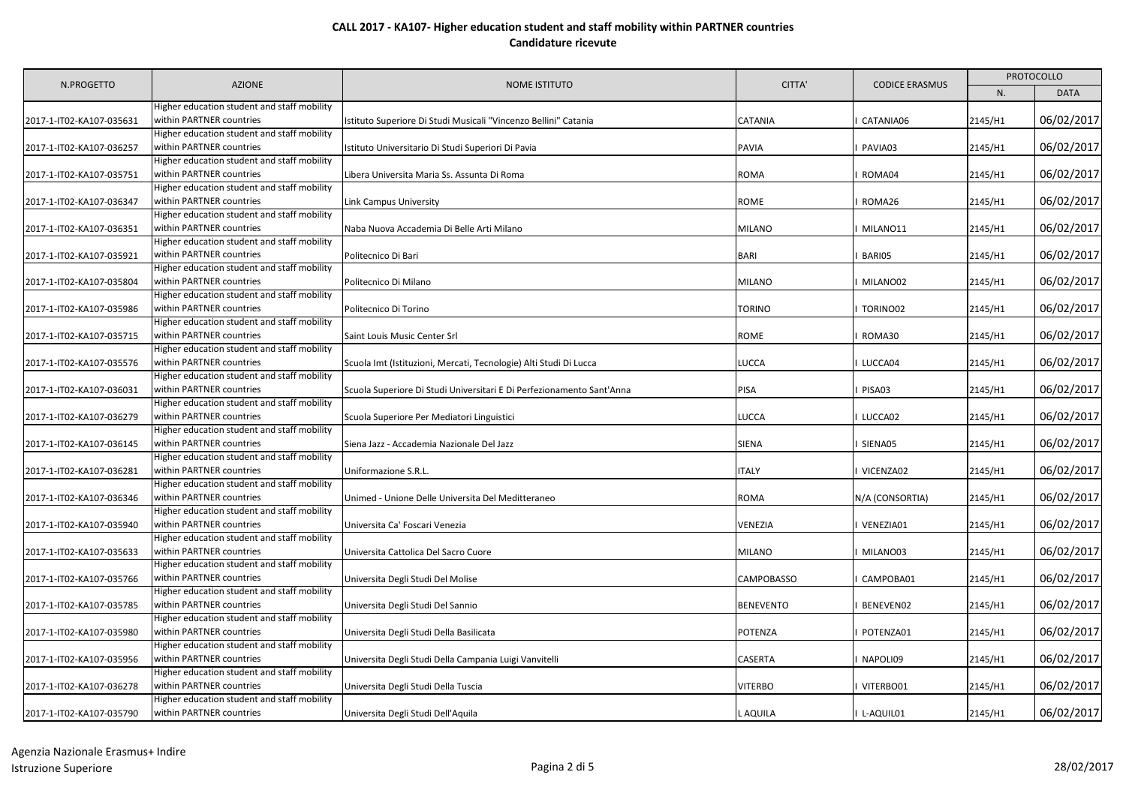| N.PROGETTO               | <b>AZIONE</b>                                                           | <b>NOME ISTITUTO</b>                                                  | CITTA'           | <b>CODICE ERASMUS</b> | <b>PROTOCOLLO</b> |             |
|--------------------------|-------------------------------------------------------------------------|-----------------------------------------------------------------------|------------------|-----------------------|-------------------|-------------|
|                          |                                                                         |                                                                       |                  |                       | N.                | <b>DATA</b> |
|                          | Higher education student and staff mobility                             |                                                                       |                  |                       |                   |             |
| 2017-1-IT02-KA107-035631 | within PARTNER countries                                                | Istituto Superiore Di Studi Musicali "Vincenzo Bellini" Catania       | CATANIA          | CATANIA06             | 2145/H1           | 06/02/2017  |
|                          | Higher education student and staff mobility                             |                                                                       |                  |                       |                   |             |
| 2017-1-IT02-KA107-036257 | within PARTNER countries                                                | Istituto Universitario Di Studi Superiori Di Pavia                    | PAVIA            | PAVIA03               | 2145/H1           | 06/02/2017  |
|                          | Higher education student and staff mobility                             |                                                                       |                  |                       |                   |             |
| 2017-1-IT02-KA107-035751 | within PARTNER countries                                                | Libera Universita Maria Ss. Assunta Di Roma                           | ROMA             | ROMA04                | 2145/H1           | 06/02/2017  |
|                          | Higher education student and staff mobility                             |                                                                       |                  |                       |                   | 06/02/2017  |
| 2017-1-IT02-KA107-036347 | within PARTNER countries<br>Higher education student and staff mobility | Link Campus University                                                | ROME             | ROMA26                | 2145/H1           |             |
| 2017-1-IT02-KA107-036351 | within PARTNER countries                                                | Naba Nuova Accademia Di Belle Arti Milano                             | MILANO           | MILANO11              | 2145/H1           | 06/02/2017  |
|                          | Higher education student and staff mobility                             |                                                                       |                  |                       |                   |             |
| 2017-1-IT02-KA107-035921 | within PARTNER countries                                                | Politecnico Di Bari                                                   | BARI             | BARI05                | 2145/H1           | 06/02/2017  |
|                          | Higher education student and staff mobility                             |                                                                       |                  |                       |                   |             |
| 2017-1-IT02-KA107-035804 | within PARTNER countries                                                | Politecnico Di Milano                                                 | MILANO           | MILANO02              | 2145/H1           | 06/02/2017  |
|                          | Higher education student and staff mobility                             |                                                                       |                  |                       |                   |             |
| 2017-1-IT02-KA107-035986 | within PARTNER countries                                                | Politecnico Di Torino                                                 | <b>TORINO</b>    | TORINO02              | 2145/H1           | 06/02/2017  |
|                          | Higher education student and staff mobility                             |                                                                       |                  |                       |                   |             |
| 2017-1-IT02-KA107-035715 | within PARTNER countries                                                | Saint Louis Music Center Srl                                          | ROME             | ROMA30                | 2145/H1           | 06/02/2017  |
|                          | Higher education student and staff mobility                             |                                                                       |                  |                       |                   |             |
| 2017-1-IT02-KA107-035576 | within PARTNER countries                                                | Scuola Imt (Istituzioni, Mercati, Tecnologie) Alti Studi Di Lucca     | LUCCA            | LUCCA04               | 2145/H1           | 06/02/2017  |
|                          | Higher education student and staff mobility                             |                                                                       |                  |                       |                   |             |
| 2017-1-IT02-KA107-036031 | within PARTNER countries                                                | Scuola Superiore Di Studi Universitari E Di Perfezionamento Sant'Anna | PISA             | PISA03                | 2145/H1           | 06/02/2017  |
|                          | Higher education student and staff mobility                             |                                                                       |                  |                       |                   |             |
| 2017-1-IT02-KA107-036279 | within PARTNER countries                                                | Scuola Superiore Per Mediatori Linguistici                            | LUCCA            | LUCCA02               | 2145/H1           | 06/02/2017  |
|                          | Higher education student and staff mobility                             |                                                                       |                  |                       |                   |             |
| 2017-1-IT02-KA107-036145 | within PARTNER countries                                                | Siena Jazz - Accademia Nazionale Del Jazz                             | SIENA            | SIENA05               | 2145/H1           | 06/02/2017  |
|                          | Higher education student and staff mobility                             |                                                                       |                  |                       |                   |             |
| 2017-1-IT02-KA107-036281 | within PARTNER countries                                                | Uniformazione S.R.L.                                                  | <b>ITALY</b>     | VICENZA02             | 2145/H1           | 06/02/2017  |
|                          | Higher education student and staff mobility                             |                                                                       |                  |                       |                   |             |
| 2017-1-IT02-KA107-036346 | within PARTNER countries                                                | Unimed - Unione Delle Universita Del Meditteraneo                     | ROMA             | N/A (CONSORTIA)       | 2145/H1           | 06/02/2017  |
|                          | Higher education student and staff mobility                             |                                                                       |                  |                       |                   |             |
| 2017-1-IT02-KA107-035940 | within PARTNER countries                                                | Universita Ca' Foscari Venezia                                        | <b>VENEZIA</b>   | VENEZIA01             | 2145/H1           | 06/02/2017  |
|                          | Higher education student and staff mobility                             |                                                                       |                  |                       |                   |             |
| 2017-1-IT02-KA107-035633 | within PARTNER countries                                                | Universita Cattolica Del Sacro Cuore                                  | MILANO           | MILANO03              | 2145/H1           | 06/02/2017  |
|                          | Higher education student and staff mobility                             |                                                                       |                  |                       |                   |             |
| 2017-1-IT02-KA107-035766 | within PARTNER countries                                                | Universita Degli Studi Del Molise                                     | CAMPOBASSO       | CAMPOBA01             | 2145/H1           | 06/02/2017  |
|                          | Higher education student and staff mobility                             |                                                                       |                  |                       |                   |             |
| 2017-1-IT02-KA107-035785 | within PARTNER countries                                                | Universita Degli Studi Del Sannio                                     | <b>BENEVENTO</b> | BENEVEN02             | 2145/H1           | 06/02/2017  |
|                          | Higher education student and staff mobility                             |                                                                       |                  |                       |                   |             |
| 2017-1-IT02-KA107-035980 | within PARTNER countries                                                | Universita Degli Studi Della Basilicata                               | POTENZA          | POTENZA01             | 2145/H1           | 06/02/2017  |
|                          | Higher education student and staff mobility                             |                                                                       |                  |                       |                   |             |
| 2017-1-IT02-KA107-035956 | within PARTNER countries                                                | Universita Degli Studi Della Campania Luigi Vanvitelli                | CASERTA          | NAPOLI09              | 2145/H1           | 06/02/2017  |
| 2017-1-IT02-KA107-036278 | Higher education student and staff mobility<br>within PARTNER countries | Universita Degli Studi Della Tuscia                                   | <b>VITERBO</b>   | VITERBO01             | 2145/H1           | 06/02/2017  |
|                          | Higher education student and staff mobility                             |                                                                       |                  |                       |                   |             |
| 2017-1-IT02-KA107-035790 | within PARTNER countries                                                | Universita Degli Studi Dell'Aquila                                    | L AQUILA         | L-AQUIL01             | 2145/H1           | 06/02/2017  |
|                          |                                                                         |                                                                       |                  |                       |                   |             |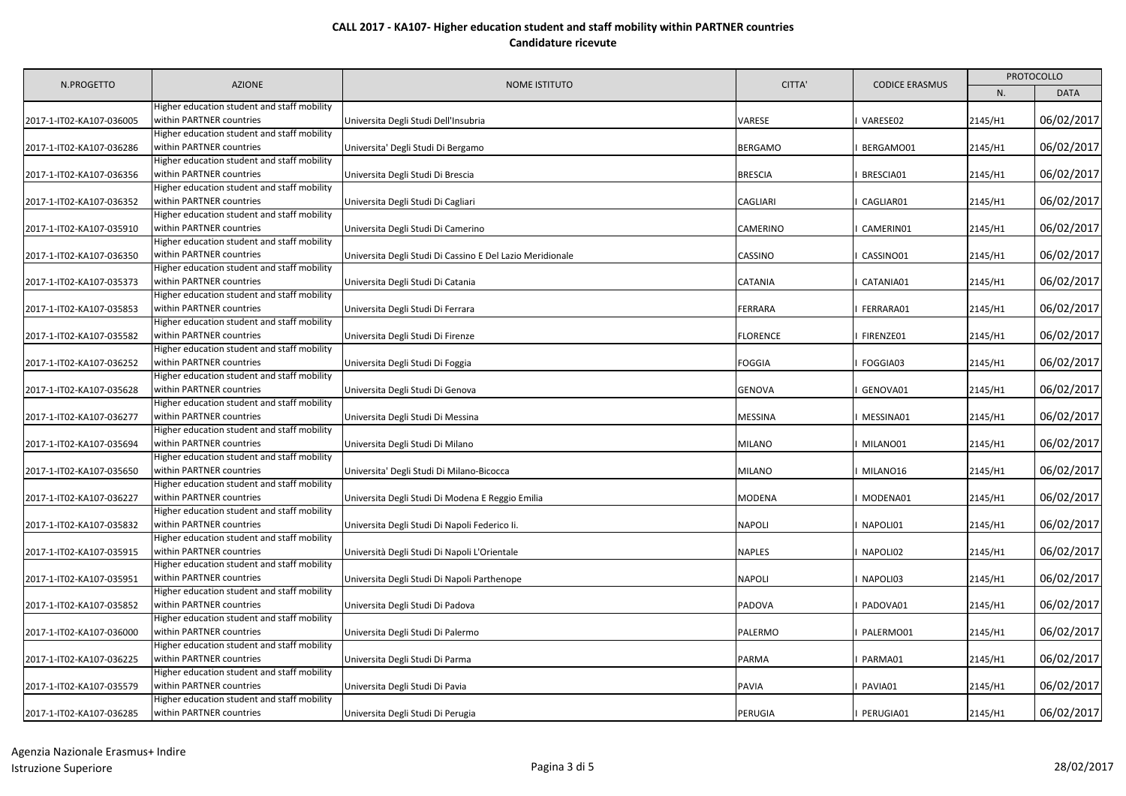|                          | <b>AZIONE</b>                                                           | <b>NOME ISTITUTO</b>                                      | CITTA'          | <b>CODICE ERASMUS</b> | PROTOCOLLO |             |
|--------------------------|-------------------------------------------------------------------------|-----------------------------------------------------------|-----------------|-----------------------|------------|-------------|
| N.PROGETTO               |                                                                         |                                                           |                 |                       | N.         | <b>DATA</b> |
| 2017-1-IT02-KA107-036005 | Higher education student and staff mobility<br>within PARTNER countries | Universita Degli Studi Dell'Insubria                      | VARESE          | VARESE02              | 2145/H1    | 06/02/2017  |
| 2017-1-IT02-KA107-036286 | Higher education student and staff mobility<br>within PARTNER countries | Universita' Degli Studi Di Bergamo                        | <b>BERGAMO</b>  | BERGAMO01             | 2145/H1    | 06/02/2017  |
| 2017-1-IT02-KA107-036356 | Higher education student and staff mobility<br>within PARTNER countries | Universita Degli Studi Di Brescia                         | <b>BRESCIA</b>  | BRESCIA01             | 2145/H1    | 06/02/2017  |
| 2017-1-IT02-KA107-036352 | Higher education student and staff mobility<br>within PARTNER countries | Universita Degli Studi Di Cagliari                        | CAGLIARI        | CAGLIAR01             | 2145/H1    | 06/02/2017  |
| 2017-1-IT02-KA107-035910 | Higher education student and staff mobility<br>within PARTNER countries | Universita Degli Studi Di Camerino                        | CAMERINO        | CAMERIN01             | 2145/H1    | 06/02/2017  |
| 2017-1-IT02-KA107-036350 | Higher education student and staff mobility<br>within PARTNER countries | Universita Degli Studi Di Cassino E Del Lazio Meridionale | CASSINO         | CASSINO01             | 2145/H1    | 06/02/2017  |
| 2017-1-IT02-KA107-035373 | Higher education student and staff mobility<br>within PARTNER countries | Universita Degli Studi Di Catania                         | CATANIA         | CATANIA01             | 2145/H1    | 06/02/2017  |
| 2017-1-IT02-KA107-035853 | Higher education student and staff mobility<br>within PARTNER countries | Universita Degli Studi Di Ferrara                         | FERRARA         | FERRARA01             | 2145/H1    | 06/02/2017  |
| 2017-1-IT02-KA107-035582 | Higher education student and staff mobility<br>within PARTNER countries | Universita Degli Studi Di Firenze                         | <b>FLORENCE</b> | FIRENZE01             | 2145/H1    | 06/02/2017  |
| 2017-1-IT02-KA107-036252 | Higher education student and staff mobility<br>within PARTNER countries | Universita Degli Studi Di Foggia                          | FOGGIA          | FOGGIA03              | 2145/H1    | 06/02/2017  |
| 2017-1-IT02-KA107-035628 | Higher education student and staff mobility<br>within PARTNER countries | Universita Degli Studi Di Genova                          | <b>GENOVA</b>   | GENOVA01              | 2145/H1    | 06/02/2017  |
| 2017-1-IT02-KA107-036277 | Higher education student and staff mobility<br>within PARTNER countries | Universita Degli Studi Di Messina                         | MESSINA         | MESSINA01             | 2145/H1    | 06/02/2017  |
| 2017-1-IT02-KA107-035694 | Higher education student and staff mobility<br>within PARTNER countries | Universita Degli Studi Di Milano                          | <b>MILANO</b>   | MILANO01              | 2145/H1    | 06/02/2017  |
| 2017-1-IT02-KA107-035650 | Higher education student and staff mobility<br>within PARTNER countries | Universita' Degli Studi Di Milano-Bicocca                 | <b>MILANO</b>   | MILANO16              | 2145/H1    | 06/02/2017  |
| 2017-1-IT02-KA107-036227 | Higher education student and staff mobility<br>within PARTNER countries | Universita Degli Studi Di Modena E Reggio Emilia          | <b>MODENA</b>   | MODENA01              | 2145/H1    | 06/02/2017  |
| 2017-1-IT02-KA107-035832 | Higher education student and staff mobility<br>within PARTNER countries | Universita Degli Studi Di Napoli Federico Ii.             | <b>NAPOLI</b>   | NAPOLI01              | 2145/H1    | 06/02/2017  |
| 2017-1-IT02-KA107-035915 | Higher education student and staff mobility<br>within PARTNER countries | Università Degli Studi Di Napoli L'Orientale              | NAPLES          | NAPOLI02              | 2145/H1    | 06/02/2017  |
| 2017-1-IT02-KA107-035951 | Higher education student and staff mobility<br>within PARTNER countries | Universita Degli Studi Di Napoli Parthenope               | <b>NAPOLI</b>   | NAPOLI03              | 2145/H1    | 06/02/2017  |
| 2017-1-IT02-KA107-035852 | Higher education student and staff mobility<br>within PARTNER countries | Universita Degli Studi Di Padova                          | <b>PADOVA</b>   | PADOVA01              | 2145/H1    | 06/02/2017  |
| 2017-1-IT02-KA107-036000 | Higher education student and staff mobility<br>within PARTNER countries | Universita Degli Studi Di Palermo                         | PALERMO         | PALERMO01             | 2145/H1    | 06/02/2017  |
| 2017-1-IT02-KA107-036225 | Higher education student and staff mobility<br>within PARTNER countries | Universita Degli Studi Di Parma                           | PARMA           | PARMA01               | 2145/H1    | 06/02/2017  |
| 2017-1-IT02-KA107-035579 | Higher education student and staff mobility<br>within PARTNER countries | Universita Degli Studi Di Pavia                           | PAVIA           | PAVIA01               | 2145/H1    | 06/02/2017  |
| 2017-1-IT02-KA107-036285 | Higher education student and staff mobility<br>within PARTNER countries | Universita Degli Studi Di Perugia                         | PERUGIA         | PERUGIA01             | 2145/H1    | 06/02/2017  |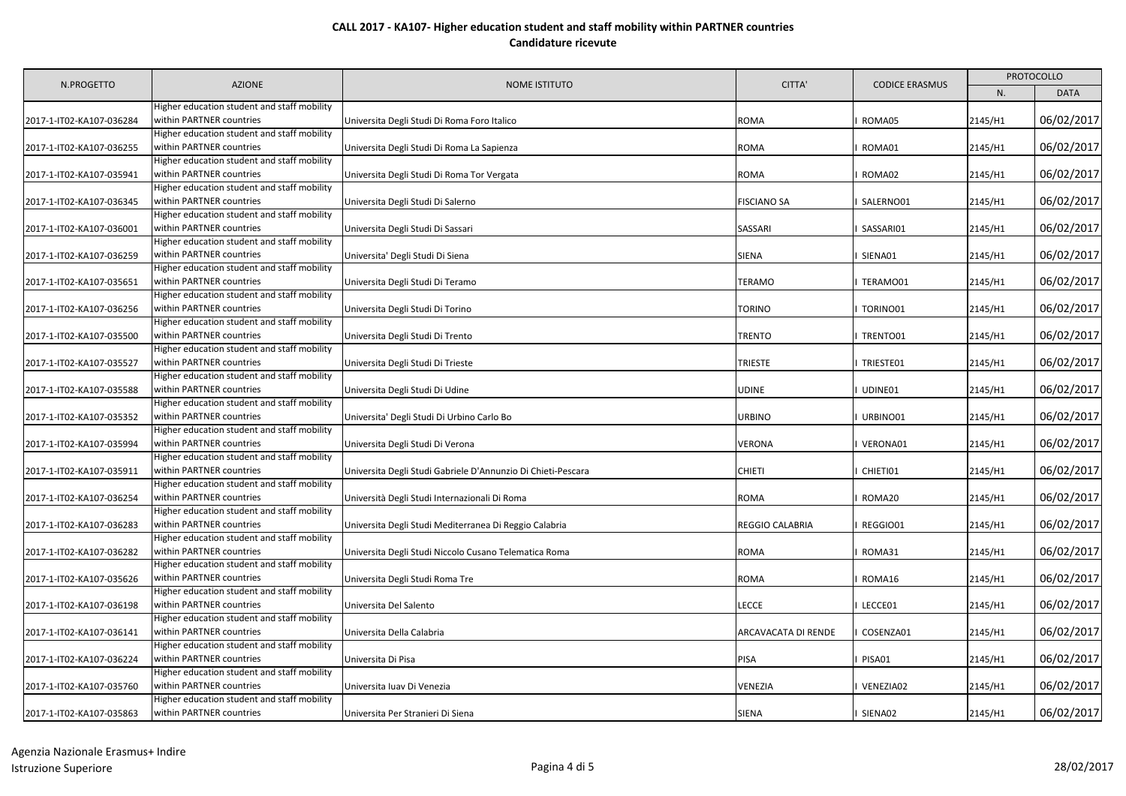|                                                      | <b>AZIONE</b>                                                                                                          | NOME ISTITUTO                                                | CITTA'                     | <b>CODICE ERASMUS</b> | <b>PROTOCOLLO</b>  |                          |
|------------------------------------------------------|------------------------------------------------------------------------------------------------------------------------|--------------------------------------------------------------|----------------------------|-----------------------|--------------------|--------------------------|
| N.PROGETTO                                           |                                                                                                                        |                                                              |                            |                       | N.                 | <b>DATA</b>              |
| 2017-1-IT02-KA107-036284                             | Higher education student and staff mobility<br>within PARTNER countries                                                | Universita Degli Studi Di Roma Foro Italico                  | <b>ROMA</b>                | ROMA05                | 2145/H1            | 06/02/2017               |
| 2017-1-IT02-KA107-036255                             | Higher education student and staff mobility<br>within PARTNER countries                                                | Universita Degli Studi Di Roma La Sapienza                   | ROMA                       | ROMA01                | 2145/H1            | 06/02/2017               |
| 2017-1-IT02-KA107-035941                             | Higher education student and staff mobility<br>within PARTNER countries                                                | Universita Degli Studi Di Roma Tor Vergata                   | <b>ROMA</b>                | ROMA02                | 2145/H1            | 06/02/2017               |
| 2017-1-IT02-KA107-036345                             | Higher education student and staff mobility<br>within PARTNER countries<br>Higher education student and staff mobility | Universita Degli Studi Di Salerno                            | <b>FISCIANO SA</b>         | SALERNO01             | 2145/H1            | 06/02/2017               |
| 2017-1-IT02-KA107-036001                             | within PARTNER countries<br>Higher education student and staff mobility                                                | Universita Degli Studi Di Sassari                            | SASSARI                    | SASSARI01             | 2145/H1            | 06/02/2017               |
| 2017-1-IT02-KA107-036259                             | within PARTNER countries<br>Higher education student and staff mobility                                                | Universita' Degli Studi Di Siena                             | <b>SIENA</b>               | SIENA01               | 2145/H1            | 06/02/2017               |
| 2017-1-IT02-KA107-035651                             | within PARTNER countries<br>Higher education student and staff mobility                                                | Universita Degli Studi Di Teramo                             | <b>TERAMO</b>              | TERAMO01              | 2145/H1            | 06/02/2017               |
| 2017-1-IT02-KA107-036256                             | within PARTNER countries<br>Higher education student and staff mobility                                                | Universita Degli Studi Di Torino                             | TORINO                     | TORINO01              | 2145/H1            | 06/02/2017               |
| 2017-1-IT02-KA107-035500                             | within PARTNER countries<br>Higher education student and staff mobility                                                | Universita Degli Studi Di Trento                             | <b>TRENTO</b>              | TRENTO01              | 2145/H1            | 06/02/2017               |
| 2017-1-IT02-KA107-035527                             | within PARTNER countries<br>Higher education student and staff mobility                                                | Universita Degli Studi Di Trieste                            | <b>TRIESTE</b>             | TRIESTE01             | 2145/H1            | 06/02/2017               |
| 2017-1-IT02-KA107-035588                             | within PARTNER countries<br>Higher education student and staff mobility                                                | Universita Degli Studi Di Udine                              | <b>UDINE</b>               | UDINE01               | 2145/H1            | 06/02/2017               |
| 2017-1-IT02-KA107-035352                             | within PARTNER countries<br>Higher education student and staff mobility                                                | Universita' Degli Studi Di Urbino Carlo Bo                   | <b>URBINO</b>              | URBINO01              | 2145/H1            | 06/02/2017               |
| 2017-1-IT02-KA107-035994                             | within PARTNER countries<br>Higher education student and staff mobility                                                | Universita Degli Studi Di Verona                             | <b>VERONA</b>              | VERONA01              | 2145/H1            | 06/02/2017               |
| 2017-1-IT02-KA107-035911                             | within PARTNER countries<br>Higher education student and staff mobility                                                | Universita Degli Studi Gabriele D'Annunzio Di Chieti-Pescara | <b>CHIETI</b>              | CHIETI01              | 2145/H1            | 06/02/2017               |
| 2017-1-IT02-KA107-036254                             | within PARTNER countries<br>Higher education student and staff mobility                                                | Università Degli Studi Internazionali Di Roma                | <b>ROMA</b>                | ROMA20                | 2145/H1            | 06/02/2017               |
| 2017-1-IT02-KA107-036283                             | within PARTNER countries<br>Higher education student and staff mobility                                                | Universita Degli Studi Mediterranea Di Reggio Calabria       | REGGIO CALABRIA            | REGGIO01              | 2145/H1            | 06/02/2017               |
| 2017-1-IT02-KA107-036282                             | within PARTNER countries<br>Higher education student and staff mobility<br>within PARTNER countries                    | Universita Degli Studi Niccolo Cusano Telematica Roma        | <b>ROMA</b><br><b>ROMA</b> | ROMA31<br>ROMA16      | 2145/H1            | 06/02/2017<br>06/02/2017 |
| 2017-1-IT02-KA107-035626<br>2017-1-IT02-KA107-036198 | Higher education student and staff mobility<br>within PARTNER countries                                                | Universita Degli Studi Roma Tre<br>Universita Del Salento    | <b>LECCE</b>               | LECCE01               | 2145/H1<br>2145/H1 | 06/02/2017               |
| 2017-1-IT02-KA107-036141                             | Higher education student and staff mobility<br>within PARTNER countries                                                | Universita Della Calabria                                    | ARCAVACATA DI RENDE        | COSENZA01             | 2145/H1            | 06/02/2017               |
| 2017-1-IT02-KA107-036224                             | Higher education student and staff mobility<br>within PARTNER countries                                                | Universita Di Pisa                                           | <b>PISA</b>                | PISA01                | 2145/H1            | 06/02/2017               |
| 2017-1-IT02-KA107-035760                             | Higher education student and staff mobility<br>within PARTNER countries                                                | Universita Iuav Di Venezia                                   | VENEZIA                    | VENEZIA02             | 2145/H1            | 06/02/2017               |
| 2017-1-IT02-KA107-035863                             | Higher education student and staff mobility<br>within PARTNER countries                                                | Universita Per Stranieri Di Siena                            | <b>SIENA</b>               | I SIENA02             | 2145/H1            | 06/02/2017               |